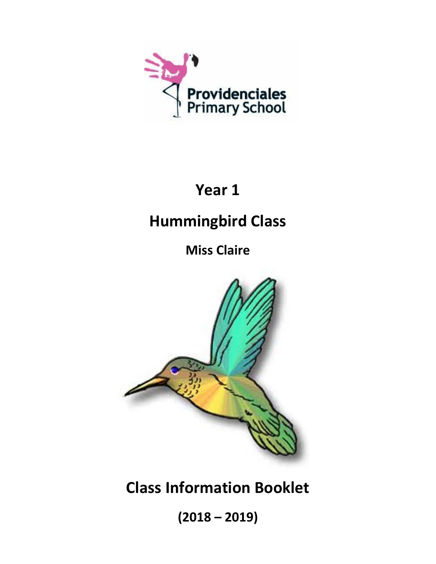

# **Year 1**

# **Hummingbird Class**

**Miss Claire**



**Class Information Booklet**

**(2018 – 2019)**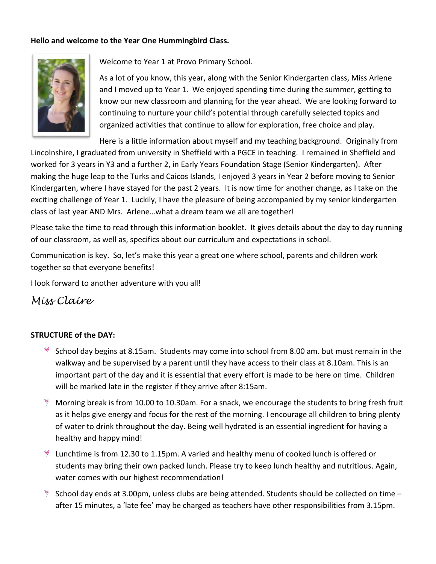# **Hello and welcome to the Year One Hummingbird Class.**



Welcome to Year 1 at Provo Primary School.

As a lot of you know, this year, along with the Senior Kindergarten class, Miss Arlene and I moved up to Year 1. We enjoyed spending time during the summer, getting to know our new classroom and planning for the year ahead. We are looking forward to continuing to nurture your child's potential through carefully selected topics and organized activities that continue to allow for exploration, free choice and play.

Here is a little information about myself and my teaching background. Originally from Lincolnshire, I graduated from university in Sheffield with a PGCE in teaching. I remained in Sheffield and worked for 3 years in Y3 and a further 2, in Early Years Foundation Stage (Senior Kindergarten). After making the huge leap to the Turks and Caicos Islands, I enjoyed 3 years in Year 2 before moving to Senior Kindergarten, where I have stayed for the past 2 years. It is now time for another change, as I take on the exciting challenge of Year 1. Luckily, I have the pleasure of being accompanied by my senior kindergarten class of last year AND Mrs. Arlene…what a dream team we all are together!

Please take the time to read through this information booklet. It gives details about the day to day running of our classroom, as well as, specifics about our curriculum and expectations in school.

Communication is key. So, let's make this year a great one where school, parents and children work together so that everyone benefits!

I look forward to another adventure with you all!

# *Miss Claire*

# **STRUCTURE of the DAY:**

- $*$  School day begins at 8.15am. Students may come into school from 8.00 am. but must remain in the walkway and be supervised by a parent until they have access to their class at 8.10am. This is an important part of the day and it is essential that every effort is made to be here on time. Children will be marked late in the register if they arrive after 8:15am.
- Morning break is from 10.00 to 10.30am. For a snack, we encourage the students to bring fresh fruit as it helps give energy and focus for the rest of the morning. I encourage all children to bring plenty of water to drink throughout the day. Being well hydrated is an essential ingredient for having a healthy and happy mind!
- $*$  Lunchtime is from 12.30 to 1.15pm. A varied and healthy menu of cooked lunch is offered or students may bring their own packed lunch. Please try to keep lunch healthy and nutritious. Again, water comes with our highest recommendation!
- $*$  School day ends at 3.00pm, unless clubs are being attended. Students should be collected on time  $$ after 15 minutes, a 'late fee' may be charged as teachers have other responsibilities from 3.15pm.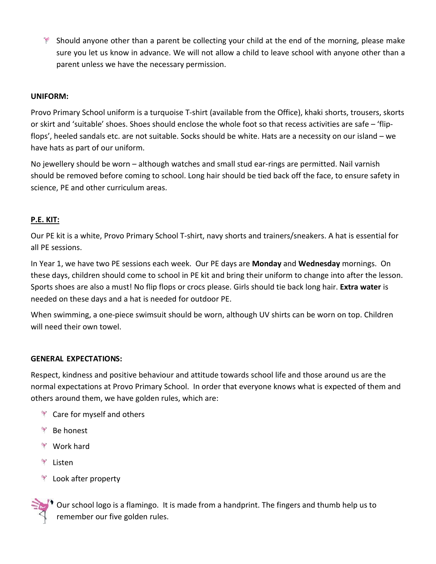$*$  Should anyone other than a parent be collecting your child at the end of the morning, please make sure you let us know in advance. We will not allow a child to leave school with anyone other than a parent unless we have the necessary permission.

#### **UNIFORM:**

Provo Primary School uniform is a turquoise T-shirt (available from the Office), khaki shorts, trousers, skorts or skirt and 'suitable' shoes. Shoes should enclose the whole foot so that recess activities are safe – 'flipflops', heeled sandals etc. are not suitable. Socks should be white. Hats are a necessity on our island – we have hats as part of our uniform.

No jewellery should be worn – although watches and small stud ear-rings are permitted. Nail varnish should be removed before coming to school. Long hair should be tied back off the face, to ensure safety in science, PE and other curriculum areas.

# **P.E. KIT:**

Our PE kit is a white, Provo Primary School T-shirt, navy shorts and trainers/sneakers. A hat is essential for all PE sessions.

In Year 1, we have two PE sessions each week. Our PE days are **Monday** and **Wednesday** mornings. On these days, children should come to school in PE kit and bring their uniform to change into after the lesson. Sports shoes are also a must! No flip flops or crocs please. Girls should tie back long hair. **Extra water** is needed on these days and a hat is needed for outdoor PE.

When swimming, a one-piece swimsuit should be worn, although UV shirts can be worn on top. Children will need their own towel.

#### **GENERAL EXPECTATIONS:**

Respect, kindness and positive behaviour and attitude towards school life and those around us are the normal expectations at Provo Primary School. In order that everyone knows what is expected of them and others around them, we have golden rules, which are:

- **The Care for myself and others**
- <sup>₹</sup> Be honest
- Work hard
- Listen
- **Look after property**

Our school logo is a flamingo. It is made from a handprint. The fingers and thumb help us to remember our five golden rules.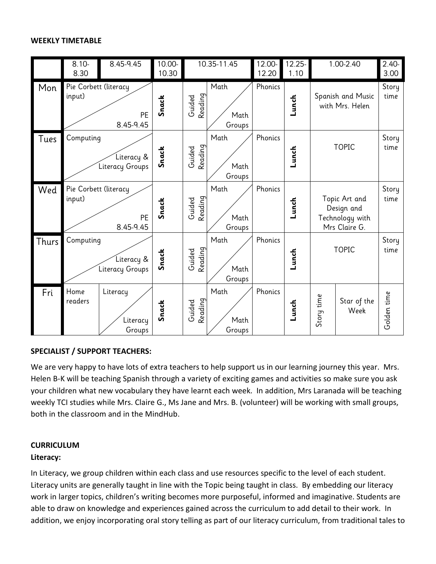#### **WEEKLY TIMETABLE**



# **SPECIALIST / SUPPORT TEACHERS:**

We are very happy to have lots of extra teachers to help support us in our learning journey this year. Mrs. Helen B-K will be teaching Spanish through a variety of exciting games and activities so make sure you ask your children what new vocabulary they have learnt each week. In addition, Mrs Laranada will be teaching weekly TCI studies while Mrs. Claire G., Ms Jane and Mrs. B. (volunteer) will be working with small groups, both in the classroom and in the MindHub.

#### **CURRICULUM**

# **Literacy:**

In Literacy, we group children within each class and use resources specific to the level of each student. Literacy units are generally taught in line with the Topic being taught in class. By embedding our literacy work in larger topics, children's writing becomes more purposeful, informed and imaginative. Students are able to draw on knowledge and experiences gained across the curriculum to add detail to their work. In addition, we enjoy incorporating oral story telling as part of our literacy curriculum, from traditional tales to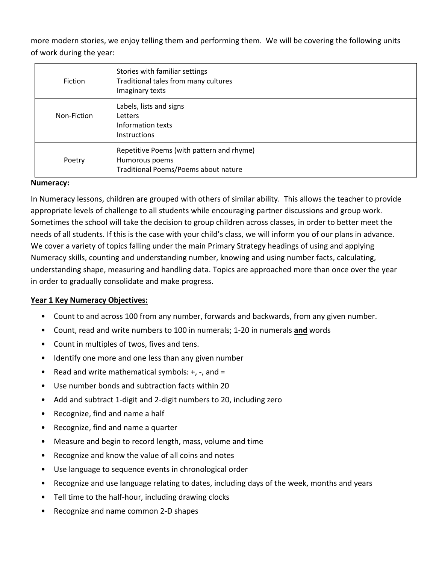more modern stories, we enjoy telling them and performing them. We will be covering the following units of work during the year:

| Fiction     | Stories with familiar settings<br>Traditional tales from many cultures<br>Imaginary texts           |
|-------------|-----------------------------------------------------------------------------------------------------|
| Non-Fiction | Labels, lists and signs<br>Letters<br>Information texts<br><b>Instructions</b>                      |
| Poetry      | Repetitive Poems (with pattern and rhyme)<br>Humorous poems<br>Traditional Poems/Poems about nature |

#### **Numeracy:**

In Numeracy lessons, children are grouped with others of similar ability. This allows the teacher to provide appropriate levels of challenge to all students while encouraging partner discussions and group work. Sometimes the school will take the decision to group children across classes, in order to better meet the needs of all students. If this is the case with your child's class, we will inform you of our plans in advance. We cover a variety of topics falling under the main Primary Strategy headings of using and applying Numeracy skills, counting and understanding number, knowing and using number facts, calculating, understanding shape, measuring and handling data. Topics are approached more than once over the year in order to gradually consolidate and make progress.

#### **Year 1 Key Numeracy Objectives:**

- Count to and across 100 from any number, forwards and backwards, from any given number.
- Count, read and write numbers to 100 in numerals; 1-20 in numerals **and** words
- Count in multiples of twos, fives and tens.
- Identify one more and one less than any given number
- Read and write mathematical symbols: +, -, and =
- Use number bonds and subtraction facts within 20
- Add and subtract 1-digit and 2-digit numbers to 20, including zero
- Recognize, find and name a half
- Recognize, find and name a quarter
- Measure and begin to record length, mass, volume and time
- Recognize and know the value of all coins and notes
- Use language to sequence events in chronological order
- Recognize and use language relating to dates, including days of the week, months and years
- Tell time to the half-hour, including drawing clocks
- Recognize and name common 2-D shapes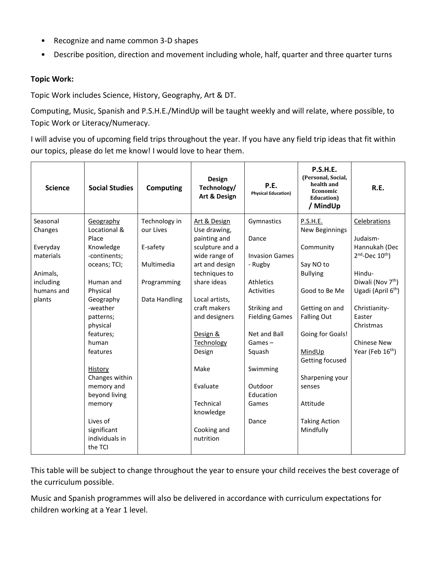- Recognize and name common 3-D shapes
- Describe position, direction and movement including whole, half, quarter and three quarter turns

# **Topic Work:**

Topic Work includes Science, History, Geography, Art & DT.

Computing, Music, Spanish and P.S.H.E./MindUp will be taught weekly and will relate, where possible, to Topic Work or Literacy/Numeracy.

I will advise you of upcoming field trips throughout the year. If you have any field trip ideas that fit within our topics, please do let me know! I would love to hear them.

| <b>Science</b>        | <b>Social Studies</b>     | Computing                  | <b>Design</b><br>Technology/<br>Art & Design | P.E.<br><b>Physical Education)</b> | <b>P.S.H.E.</b><br>(Personal, Social,<br>health and<br>Economic<br>Education)<br>/ MindUp | R.E.                                 |
|-----------------------|---------------------------|----------------------------|----------------------------------------------|------------------------------------|-------------------------------------------------------------------------------------------|--------------------------------------|
| Seasonal<br>Changes   | Geography<br>Locational & | Technology in<br>our Lives | Art & Design<br>Use drawing,                 | Gymnastics                         | P.S.H.E.<br><b>New Beginnings</b>                                                         | Celebrations                         |
|                       | Place                     |                            | painting and                                 | Dance                              |                                                                                           | Judaism-                             |
| Everyday<br>materials | Knowledge<br>-continents; | E-safety                   | sculpture and a<br>wide range of             | <b>Invasion Games</b>              | Community                                                                                 | Hannukah (Dec<br>$2nd$ -Dec $10th$ ) |
|                       | oceans; TCI;              | Multimedia                 | art and design                               | - Rugby                            | Say NO to                                                                                 |                                      |
| Animals,              |                           |                            | techniques to                                |                                    | <b>Bullying</b>                                                                           | Hindu-                               |
| including             | Human and                 | Programming                | share ideas                                  | <b>Athletics</b>                   |                                                                                           | Diwali (Nov 7 <sup>th</sup> )        |
| humans and            | Physical                  |                            |                                              | <b>Activities</b>                  | Good to Be Me                                                                             | Ugadi (April 6 <sup>th</sup> )       |
| plants                | Geography                 | Data Handling              | Local artists,                               |                                    |                                                                                           |                                      |
|                       | -weather                  |                            | craft makers                                 | Striking and                       | Getting on and                                                                            | Christianity-                        |
|                       | patterns;                 |                            | and designers                                | <b>Fielding Games</b>              | <b>Falling Out</b>                                                                        | Easter                               |
|                       | physical                  |                            |                                              |                                    |                                                                                           | Christmas                            |
|                       | features;                 |                            | Design &                                     | Net and Ball                       | Going for Goals!                                                                          |                                      |
|                       | human                     |                            | Technology                                   | $Games -$                          |                                                                                           | Chinese New                          |
|                       | features                  |                            | Design                                       | Squash                             | MindUp                                                                                    | Year (Feb 16 <sup>th</sup> )         |
|                       |                           |                            |                                              |                                    | Getting focused                                                                           |                                      |
|                       | History                   |                            | Make                                         | Swimming                           |                                                                                           |                                      |
|                       | Changes within            |                            |                                              |                                    | Sharpening your                                                                           |                                      |
|                       | memory and                |                            | Evaluate                                     | Outdoor                            | senses                                                                                    |                                      |
|                       | beyond living             |                            | Technical                                    | Education<br>Games                 | Attitude                                                                                  |                                      |
|                       | memory                    |                            |                                              |                                    |                                                                                           |                                      |
|                       | Lives of                  |                            | knowledge                                    | Dance                              | <b>Taking Action</b>                                                                      |                                      |
|                       | significant               |                            | Cooking and                                  |                                    | Mindfully                                                                                 |                                      |
|                       | individuals in<br>the TCI |                            | nutrition                                    |                                    |                                                                                           |                                      |

This table will be subject to change throughout the year to ensure your child receives the best coverage of the curriculum possible.

Music and Spanish programmes will also be delivered in accordance with curriculum expectations for children working at a Year 1 level.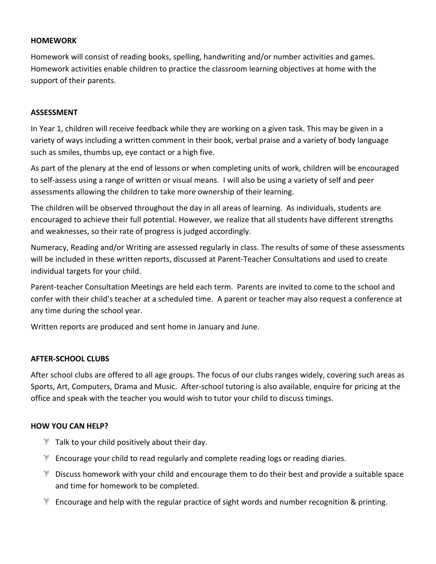#### **HOMEWORK**

Homework will consist of reading books, spelling, handwriting and/or number activities and games. Homework activities enable children to practice the classroom learning objectives at home with the support of their parents.

#### **ASSESSMENT**

In Year 1, children will receive feedback while they are working on a given task. This may be given in a variety of ways including a written comment in their book, verbal praise and a variety of body language such as smiles, thumbs up, eye contact or a high five.

As part of the plenary at the end of lessons or when completing units of work, children will be encouraged to self-assess using a range of written or visual means. I will also be using a variety of self and peer assessments allowing the children to take more ownership of their learning.

The children will be observed throughout the day in all areas of learning. As individuals, students are encouraged to achieve their full potential. However, we realize that all students have different strengths and weaknesses, so their rate of progress is judged accordingly.

Numeracy, Reading and/or Writing are assessed regularly in class. The results of some of these assessments will be included in these written reports, discussed at Parent-Teacher Consultations and used to create individual targets for your child.

Parent-teacher Consultation Meetings are held each term. Parents are invited to come to the school and confer with their child's teacher at a scheduled time. A parent or teacher may also request a conference at any time during the school year.

Written reports are produced and sent home in January and June.

# **AFTER-SCHOOL CLUBS**

After school clubs are offered to all age groups. The focus of our clubs ranges widely, covering such areas as Sports, Art, Computers, Drama and Music. After-school tutoring is also available, enquire for pricing at the office and speak with the teacher you would wish to tutor your child to discuss timings.

#### **HOW YOU CAN HELP?**

- $*$  Talk to your child positively about their day.
- $*$  Encourage your child to read regularly and complete reading logs or reading diaries.
- $*$  Discuss homework with your child and encourage them to do their best and provide a suitable space and time for homework to be completed.
- $*$  Encourage and help with the regular practice of sight words and number recognition & printing.